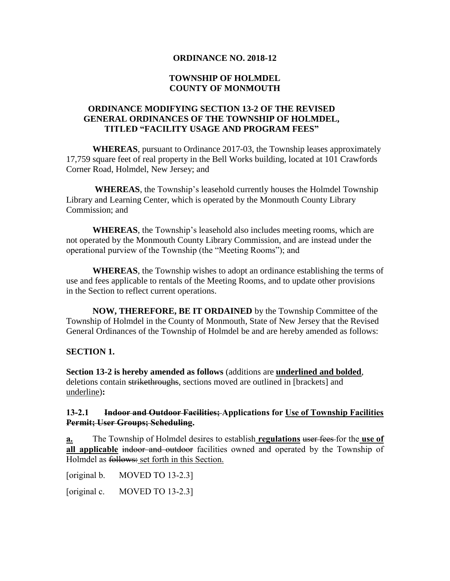## **ORDINANCE NO. 2018-12**

## **TOWNSHIP OF HOLMDEL COUNTY OF MONMOUTH**

## **ORDINANCE MODIFYING SECTION 13-2 OF THE REVISED GENERAL ORDINANCES OF THE TOWNSHIP OF HOLMDEL, TITLED "FACILITY USAGE AND PROGRAM FEES"**

**WHEREAS**, pursuant to Ordinance 2017-03, the Township leases approximately 17,759 square feet of real property in the Bell Works building, located at 101 Crawfords Corner Road, Holmdel, New Jersey; and

**WHEREAS**, the Township's leasehold currently houses the Holmdel Township Library and Learning Center, which is operated by the Monmouth County Library Commission; and

**WHEREAS**, the Township's leasehold also includes meeting rooms, which are not operated by the Monmouth County Library Commission, and are instead under the operational purview of the Township (the "Meeting Rooms"); and

**WHEREAS**, the Township wishes to adopt an ordinance establishing the terms of use and fees applicable to rentals of the Meeting Rooms, and to update other provisions in the Section to reflect current operations.

**NOW, THEREFORE, BE IT ORDAINED** by the Township Committee of the Township of Holmdel in the County of Monmouth, State of New Jersey that the Revised General Ordinances of the Township of Holmdel be and are hereby amended as follows:

### **SECTION 1.**

**Section 13-2 is hereby amended as follows** (additions are **underlined and bolded**, deletions contain strikethroughs, sections moved are outlined in [brackets] and underline)**:**

## **13-2.1 Indoor and Outdoor Facilities; Applications for Use of Township Facilities Permit; User Groups; Scheduling.**

**a.** The Township of Holmdel desires to establish **regulations** user fees for the **use of all applicable** indoor and outdoor facilities owned and operated by the Township of Holmdel as follows: set forth in this Section.

[original b. MOVED TO 13-2.3]

[original c. MOVED TO 13-2.3]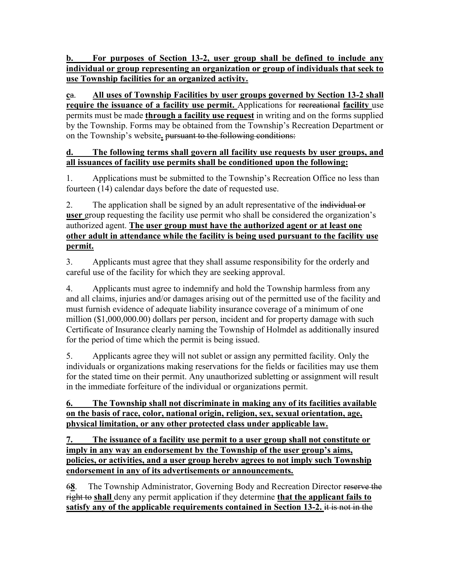**b. For purposes of Section 13-2, user group shall be defined to include any individual or group representing an organization or group of individuals that seek to use Township facilities for an organized activity.**

**c**a. **All uses of Township Facilities by user groups governed by Section 13-2 shall require the issuance of a facility use permit.** Applications for recreational **facility** use permits must be made **through a facility use request** in writing and on the forms supplied by the Township. Forms may be obtained from the Township's Recreation Department or on the Township's website**.** pursuant to the following conditions:

## **d. The following terms shall govern all facility use requests by user groups, and all issuances of facility use permits shall be conditioned upon the following:**

1. Applications must be submitted to the Township's Recreation Office no less than fourteen (14) calendar days before the date of requested use.

2. The application shall be signed by an adult representative of the individual or **user** group requesting the facility use permit who shall be considered the organization's authorized agent. **The user group must have the authorized agent or at least one other adult in attendance while the facility is being used pursuant to the facility use permit.**

3. Applicants must agree that they shall assume responsibility for the orderly and careful use of the facility for which they are seeking approval.

4. Applicants must agree to indemnify and hold the Township harmless from any and all claims, injuries and/or damages arising out of the permitted use of the facility and must furnish evidence of adequate liability insurance coverage of a minimum of one million (\$1,000,000.00) dollars per person, incident and for property damage with such Certificate of Insurance clearly naming the Township of Holmdel as additionally insured for the period of time which the permit is being issued.

5. Applicants agree they will not sublet or assign any permitted facility. Only the individuals or organizations making reservations for the fields or facilities may use them for the stated time on their permit. Any unauthorized subletting or assignment will result in the immediate forfeiture of the individual or organizations permit.

# **6. The Township shall not discriminate in making any of its facilities available on the basis of race, color, national origin, religion, sex, sexual orientation, age, physical limitation, or any other protected class under applicable law.**

**7. The issuance of a facility use permit to a user group shall not constitute or imply in any way an endorsement by the Township of the user group's aims, policies, or activities, and a user group herebv agrees to not imply such Township endorsement in any of its advertisements or announcements.**

6**8**. The Township Administrator, Governing Body and Recreation Director reserve the right to **shall** deny any permit application if they determine **that the applicant fails to satisfy any of the applicable requirements contained in Section 13-2.** it is not in the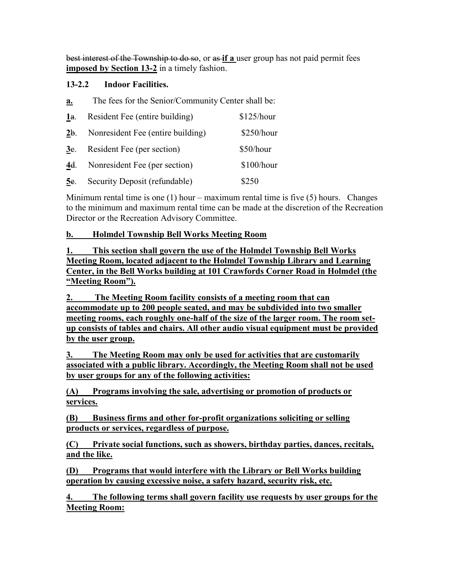best interest of the Township to do so, or as **if a** user group has not paid permit fees **imposed by Section 13-2** in a timely fashion.

## **13-2.2 Indoor Facilities.**

|    |  |  | The fees for the Senior/Community Center shall be: |  |  |
|----|--|--|----------------------------------------------------|--|--|
| a. |  |  |                                                    |  |  |

| 1a.    | Resident Fee (entire building)    | \$125/hour |
|--------|-----------------------------------|------------|
| 2b.    | Nonresident Fee (entire building) | \$250/hour |
| 3e.    | Resident Fee (per section)        | \$50/hour  |
| 4d.    | Nonresident Fee (per section)     | \$100/hour |
| $5e$ . | Security Deposit (refundable)     | \$250      |

Minimum rental time is one  $(1)$  hour – maximum rental time is five  $(5)$  hours. Changes to the minimum and maximum rental time can be made at the discretion of the Recreation Director or the Recreation Advisory Committee.

## **b. Holmdel Township Bell Works Meeting Room**

**1. This section shall govern the use of the Holmdel Township Bell Works Meeting Room, located adjacent to the Holmdel Township Library and Learning Center, in the Bell Works building at 101 Crawfords Corner Road in Holmdel (the "Meeting Room").**

**2. The Meeting Room facility consists of a meeting room that can accommodate up to 200 people seated, and may be subdivided into two smaller meeting rooms, each roughly one-half of the size of the larger room. The room setup consists of tables and chairs. All other audio visual equipment must be provided by the user group.**

**3. The Meeting Room may only be used for activities that are customarily associated with a public library. Accordingly, the Meeting Room shall not be used by user groups for any of the following activities:**

**(A) Programs involving the sale, advertising or promotion of products or services.**

**(B) Business firms and other for-profit organizations soliciting or selling products or services, regardless of purpose.**

**(C) Private social functions, such as showers, birthday parties, dances, recitals, and the like.**

**(D) Programs that would interfere with the Library or Bell Works building operation by causing excessive noise, a safety hazard, security risk, etc.**

**4. The following terms shall govern facility use requests by user groups for the Meeting Room:**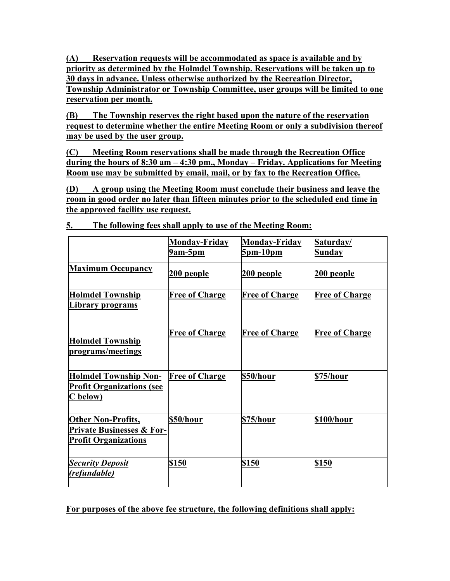**(A) Reservation requests will be accommodated as space is available and by priority as determined by the Holmdel Township. Reservations will be taken up to 30 days in advance. Unless otherwise authorized by the Recreation Director, Township Administrator or Township Committee, user groups will be limited to one reservation per month.**

**(B) The Township reserves the right based upon the nature of the reservation request to determine whether the entire Meeting Room or only a subdivision thereof may be used by the user group.**

**(C) Meeting Room reservations shall be made through the Recreation Office during the hours of 8:30 am – 4:30 pm., Monday – Friday. Applications for Meeting Room use may be submitted by email, mail, or by fax to the Recreation Office.**

**(D) A group using the Meeting Room must conclude their business and leave the room in good order no later than fifteen minutes prior to the scheduled end time in the approved facility use request.**

|                                                                                                  | <b>Monday-Friday</b><br>9am-5pm | <b>Monday-Friday</b><br><u>5pm-10pm</u> | Saturday/<br><b>Sunday</b> |
|--------------------------------------------------------------------------------------------------|---------------------------------|-----------------------------------------|----------------------------|
| <b>Maximum Occupancy</b>                                                                         | 200 people                      | <u>200 people</u>                       | 200 people                 |
| <b>Holmdel Township</b><br>Library programs                                                      | <b>Free of Charge</b>           | <b>Free of Charge</b>                   | <b>Free of Charge</b>      |
| <b>Holmdel Township</b><br>programs/meetings                                                     | <b>Free of Charge</b>           | <b>Free of Charge</b>                   | <b>Free of Charge</b>      |
| <b>Holmdel Township Non-</b><br><b>Profit Organizations (see</b><br>C below)                     | <b>Free of Charge</b>           | \$50/hour                               | \$75/hour                  |
| <b>Other Non-Profits,</b><br><b>Private Businesses &amp; For-</b><br><b>Profit Organizations</b> | \$50/hour                       | \$75/hour                               | \$100/hour                 |
| <b>Security Deposit</b><br>(refundable)                                                          | \$150                           | \$150                                   | \$150                      |

**5. The following fees shall apply to use of the Meeting Room:**

**For purposes of the above fee structure, the following definitions shall apply:**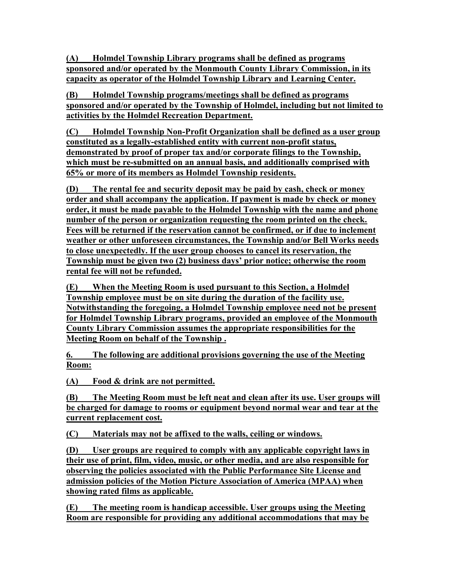**(A) Holmdel Township Library programs shall be defined as programs sponsored and/or operated by the Monmouth County Library Commission, in its capacity as operator of the Holmdel Township Library and Learning Center.**

**(B) Holmdel Township programs/meetings shall be defined as programs sponsored and/or operated by the Township of Holmdel, including but not limited to activities by the Holmdel Recreation Department.**

**(C) Holmdel Township Non-Profit Organization shall be defined as a user group constituted as a legally-established entity with current non-profit status, demonstrated by proof of proper tax and/or corporate filings to the Township, which must be re-submitted on an annual basis, and additionally comprised with 65% or more of its members as Holmdel Township residents.**

**(D) The rental fee and security deposit may be paid by cash, check or money order and shall accompany the application. If payment is made by check or money order, it must be made payable to the Holmdel Township with the name and phone number of the person or organization requesting the room printed on the check. Fees will be returned if the reservation cannot be confirmed, or if due to inclement weather or other unforeseen circumstances, the Township and/or Bell Works needs to close unexpectedly. If the user group chooses to cancel its reservation, the Township must be given two (2) business days' prior notice; otherwise the room rental fee will not be refunded.**

**(E) When the Meeting Room is used pursuant to this Section, a Holmdel Township employee must be on site during the duration of the facility use. Notwithstanding the foregoing, a Holmdel Township employee need not be present for Holmdel Township Library programs, provided an employee of the Monmouth County Library Commission assumes the appropriate responsibilities for the Meeting Room on behalf of the Township .**

**6. The following are additional provisions governing the use of the Meeting Room:**

**(A) Food & drink are not permitted.**

**(B) The Meeting Room must be left neat and clean after its use. User groups will be charged for damage to rooms or equipment beyond normal wear and tear at the current replacement cost.**

**(C) Materials may not be affixed to the walls, ceiling or windows.**

**(D) User groups are required to comply with any applicable copyright laws in their use of print, film, video, music, or other media, and are also responsible for observing the policies associated with the Public Performance Site License and admission policies of the Motion Picture Association of America (MPAA) when showing rated films as applicable.**

**(E) The meeting room is handicap accessible. User groups using the Meeting Room are responsible for providing any additional accommodations that may be**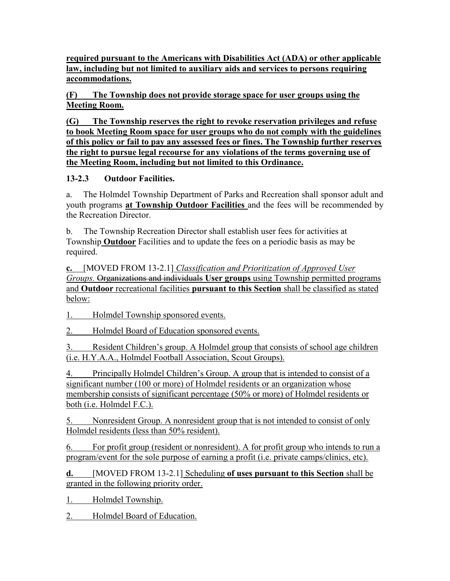**required pursuant to the Americans with Disabilities Act (ADA) or other applicable law, including but not limited to auxiliary aids and services to persons requiring accommodations.**

**(F) The Township does not provide storage space for user groups using the Meeting Room.**

**(G) The Township reserves the right to revoke reservation privileges and refuse to book Meeting Room space for user groups who do not comply with the guidelines of this policy or fail to pay any assessed fees or fines. The Township further reserves the right to pursue legal recourse for any violations of the terms governing use of the Meeting Room, including but not limited to this Ordinance.**

# **13-2.3 Outdoor Facilities.**

a. The Holmdel Township Department of Parks and Recreation shall sponsor adult and youth programs **at Township Outdoor Facilities** and the fees will be recommended by the Recreation Director.

b. The Township Recreation Director shall establish user fees for activities at Township **Outdoor** Facilities and to update the fees on a periodic basis as may be required.

**c.** [MOVED FROM 13-2.1] *Classification and Prioritization of Approved User Groups.* Organizations and individuals **User groups** using Township permitted programs and **Outdoor** recreational facilities **pursuant to this Section** shall be classified as stated below:

1. Holmdel Township sponsored events.

2. Holmdel Board of Education sponsored events.

3. Resident Children's group. A Holmdel group that consists of school age children (i.e. H.Y.A.A., Holmdel Football Association, Scout Groups).

4. Principally Holmdel Children's Group. A group that is intended to consist of a significant number (100 or more) of Holmdel residents or an organization whose membership consists of significant percentage (50% or more) of Holmdel residents or both (i.e. Holmdel F.C.).

5. Nonresident Group. A nonresident group that is not intended to consist of only Holmdel residents (less than 50% resident).

6. For profit group (resident or nonresident). A for profit group who intends to run a program/event for the sole purpose of earning a profit (i.e. private camps/clinics, etc).

**d.** [MOVED FROM 13-2.1] Scheduling **of uses pursuant to this Section** shall be granted in the following priority order.

1. Holmdel Township.

2. Holmdel Board of Education.